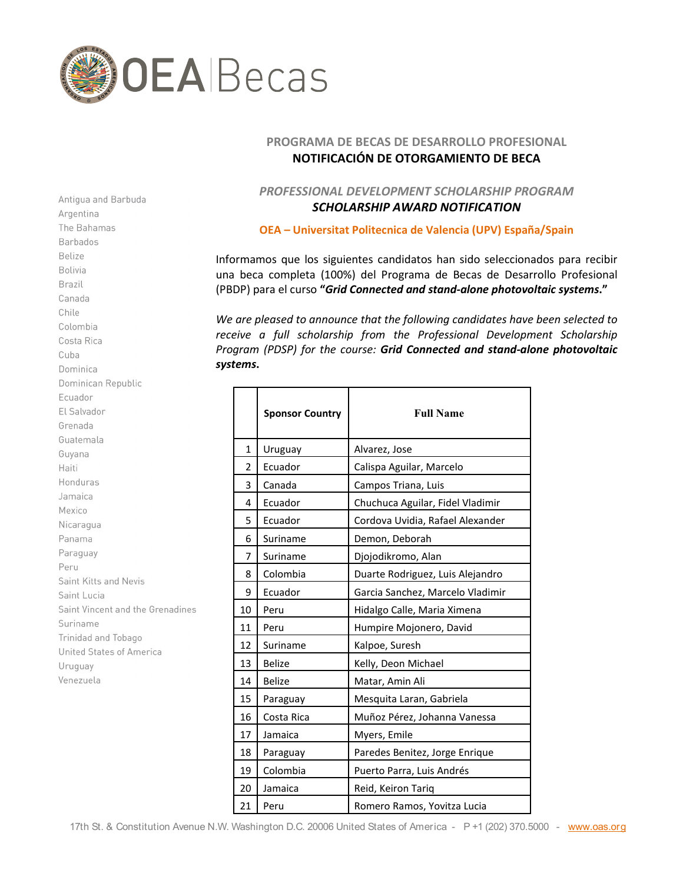

## **PROGRAMA DE BECAS DE DESARROLLO PROFESIONAL NOTIFICACIÓN DE OTORGAMIENTO DE BECA**

## *PROFESSIONAL DEVELOPMENT SCHOLARSHIP PROGRAM SCHOLARSHIP AWARD NOTIFICATION*

**OEA – Universitat Politecnica de Valencia (UPV) España/Spain**

Informamos que los siguientes candidatos han sido seleccionados para recibir una beca completa (100%) del Programa de Becas de Desarrollo Profesional (PBDP) para el curso **"***Grid Connected and stand-alone photovoltaic systems***."**

*We are pleased to announce that the following candidates have been selected to*  receive a full scholarship from the Professional Development Scholarship *Program (PDSP) for the course: Grid Connected and stand-alone photovoltaic systems***.**

|              | <b>Sponsor Country</b> | <b>Full Name</b>                 |
|--------------|------------------------|----------------------------------|
| $\mathbf{1}$ | Uruguay                | Alvarez, Jose                    |
| 2            | Ecuador                | Calispa Aguilar, Marcelo         |
| 3            | Canada                 | Campos Triana, Luis              |
| 4            | Ecuador                | Chuchuca Aguilar, Fidel Vladimir |
| 5            | Ecuador                | Cordova Uvidia, Rafael Alexander |
| 6            | Suriname               | Demon, Deborah                   |
| 7            | Suriname               | Djojodikromo, Alan               |
| 8            | Colombia               | Duarte Rodriguez, Luis Alejandro |
| 9            | Ecuador                | Garcia Sanchez, Marcelo Vladimir |
| 10           | Peru                   | Hidalgo Calle, Maria Ximena      |
| 11           | Peru                   | Humpire Mojonero, David          |
| 12           | Suriname               | Kalpoe, Suresh                   |
| 13           | <b>Belize</b>          | Kelly, Deon Michael              |
| 14           | <b>Belize</b>          | Matar, Amin Ali                  |
| 15           | Paraguay               | Mesquita Laran, Gabriela         |
| 16           | Costa Rica             | Muñoz Pérez, Johanna Vanessa     |
| 17           | Jamaica                | Myers, Emile                     |
| 18           | Paraguay               | Paredes Benitez, Jorge Enrique   |
| 19           | Colombia               | Puerto Parra, Luis Andrés        |
| 20           | Jamaica                | Reid, Keiron Tariq               |
| 21           | Peru                   | Romero Ramos, Yovitza Lucia      |

Argentina The Bahamas **Barbados** Belize Bolivia Brazil Canada Chile Colombia Costa Rica Cuba Dominica Dominican Republic Ecuador El Salvador Grenada Guatemala Guyana Haiti Honduras Jamaica Mexico Nicaragua Panama Paraguay Peru Saint Kitts and Nevis Saint Lucia Saint Vincent and the Grenadines Suriname Trinidad and Tobago **United States of America** Uruguay Venezuela

Antigua and Barbuda